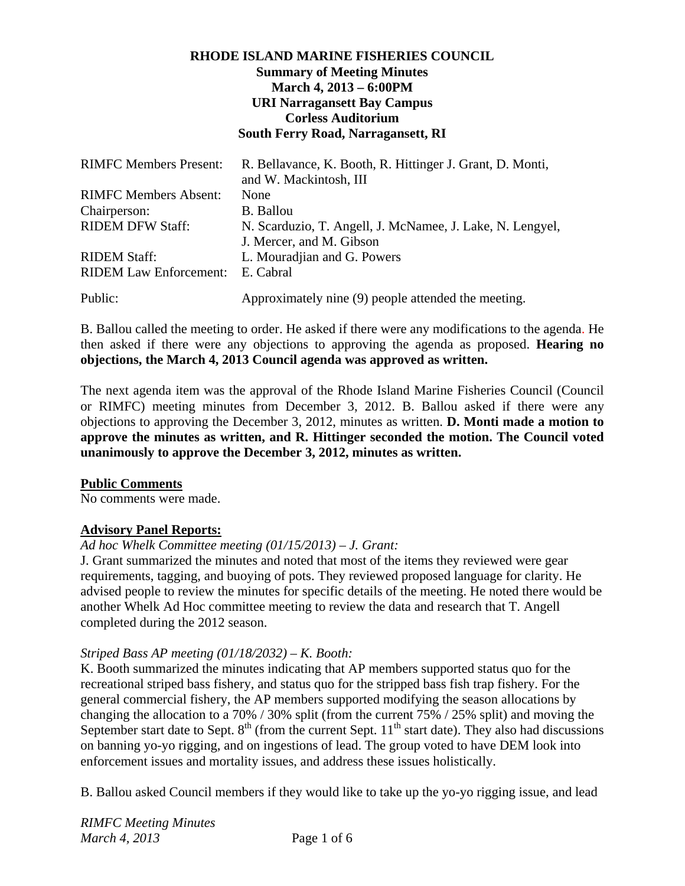# **RHODE ISLAND MARINE FISHERIES COUNCIL Summary of Meeting Minutes March 4, 2013 – 6:00PM URI Narragansett Bay Campus Corless Auditorium South Ferry Road, Narragansett, RI**

| <b>RIMFC Members Present:</b> | R. Bellavance, K. Booth, R. Hittinger J. Grant, D. Monti,<br>and W. Mackintosh, III |
|-------------------------------|-------------------------------------------------------------------------------------|
| <b>RIMFC Members Absent:</b>  | None                                                                                |
| Chairperson:                  | <b>B.</b> Ballou                                                                    |
| <b>RIDEM DFW Staff:</b>       | N. Scarduzio, T. Angell, J. McNamee, J. Lake, N. Lengyel,                           |
|                               | J. Mercer, and M. Gibson                                                            |
| <b>RIDEM Staff:</b>           | L. Mouradjian and G. Powers                                                         |
| <b>RIDEM Law Enforcement:</b> | E. Cabral                                                                           |
| Public:                       | Approximately nine (9) people attended the meeting.                                 |

B. Ballou called the meeting to order. He asked if there were any modifications to the agenda. He then asked if there were any objections to approving the agenda as proposed. **Hearing no objections, the March 4, 2013 Council agenda was approved as written.**

The next agenda item was the approval of the Rhode Island Marine Fisheries Council (Council or RIMFC) meeting minutes from December 3, 2012. B. Ballou asked if there were any objections to approving the December 3, 2012, minutes as written. **D. Monti made a motion to approve the minutes as written, and R. Hittinger seconded the motion. The Council voted unanimously to approve the December 3, 2012, minutes as written.** 

#### **Public Comments**

No comments were made.

# **Advisory Panel Reports:**

*Ad hoc Whelk Committee meeting (01/15/2013) – J. Grant:* 

J. Grant summarized the minutes and noted that most of the items they reviewed were gear requirements, tagging, and buoying of pots. They reviewed proposed language for clarity. He advised people to review the minutes for specific details of the meeting. He noted there would be another Whelk Ad Hoc committee meeting to review the data and research that T. Angell completed during the 2012 season.

# *Striped Bass AP meeting (01/18/2032) – K. Booth:*

K. Booth summarized the minutes indicating that AP members supported status quo for the recreational striped bass fishery, and status quo for the stripped bass fish trap fishery. For the general commercial fishery, the AP members supported modifying the season allocations by changing the allocation to a 70% / 30% split (from the current 75% / 25% split) and moving the September start date to Sept.  $8<sup>th</sup>$  (from the current Sept.  $11<sup>th</sup>$  start date). They also had discussions on banning yo-yo rigging, and on ingestions of lead. The group voted to have DEM look into enforcement issues and mortality issues, and address these issues holistically.

B. Ballou asked Council members if they would like to take up the yo-yo rigging issue, and lead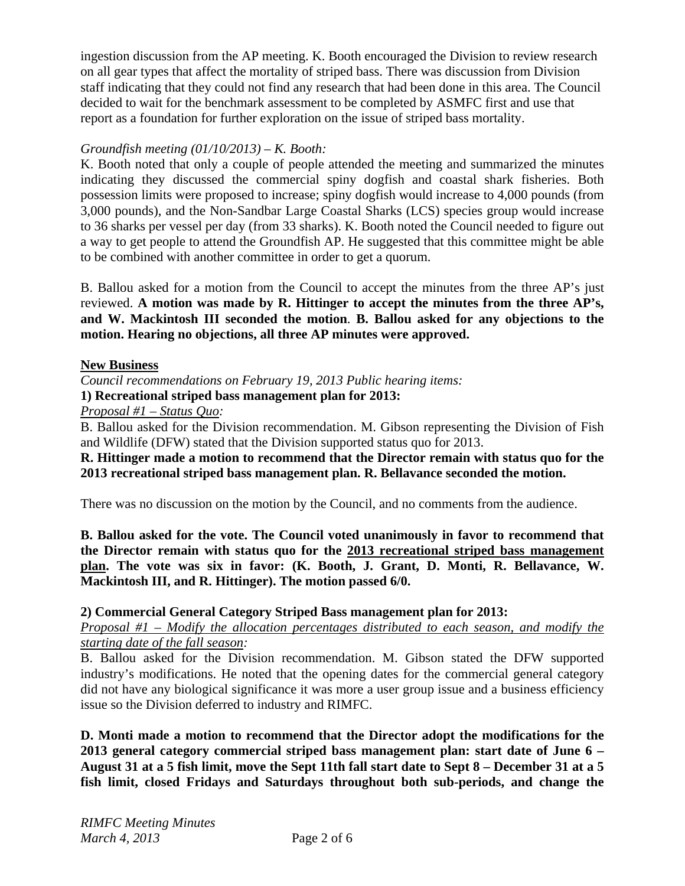ingestion discussion from the AP meeting. K. Booth encouraged the Division to review research on all gear types that affect the mortality of striped bass. There was discussion from Division staff indicating that they could not find any research that had been done in this area. The Council decided to wait for the benchmark assessment to be completed by ASMFC first and use that report as a foundation for further exploration on the issue of striped bass mortality.

# *Groundfish meeting (01/10/2013) – K. Booth:*

K. Booth noted that only a couple of people attended the meeting and summarized the minutes indicating they discussed the commercial spiny dogfish and coastal shark fisheries. Both possession limits were proposed to increase; spiny dogfish would increase to 4,000 pounds (from 3,000 pounds), and the Non-Sandbar Large Coastal Sharks (LCS) species group would increase to 36 sharks per vessel per day (from 33 sharks). K. Booth noted the Council needed to figure out a way to get people to attend the Groundfish AP. He suggested that this committee might be able to be combined with another committee in order to get a quorum.

B. Ballou asked for a motion from the Council to accept the minutes from the three AP's just reviewed. **A motion was made by R. Hittinger to accept the minutes from the three AP's, and W. Mackintosh III seconded the motion**. **B. Ballou asked for any objections to the motion. Hearing no objections, all three AP minutes were approved.** 

#### **New Business**

*Council recommendations on February 19, 2013 Public hearing items:* 

**1) Recreational striped bass management plan for 2013:**

*Proposal #1 – Status Quo:* 

B. Ballou asked for the Division recommendation. M. Gibson representing the Division of Fish and Wildlife (DFW) stated that the Division supported status quo for 2013.

**R. Hittinger made a motion to recommend that the Director remain with status quo for the 2013 recreational striped bass management plan. R. Bellavance seconded the motion.** 

There was no discussion on the motion by the Council, and no comments from the audience.

**B. Ballou asked for the vote. The Council voted unanimously in favor to recommend that the Director remain with status quo for the 2013 recreational striped bass management plan. The vote was six in favor: (K. Booth, J. Grant, D. Monti, R. Bellavance, W. Mackintosh III, and R. Hittinger). The motion passed 6/0.** 

#### **2) Commercial General Category Striped Bass management plan for 2013:**

*Proposal #1 – Modify the allocation percentages distributed to each season, and modify the starting date of the fall season:* 

B. Ballou asked for the Division recommendation. M. Gibson stated the DFW supported industry's modifications. He noted that the opening dates for the commercial general category did not have any biological significance it was more a user group issue and a business efficiency issue so the Division deferred to industry and RIMFC.

**D. Monti made a motion to recommend that the Director adopt the modifications for the 2013 general category commercial striped bass management plan: start date of June 6 – August 31 at a 5 fish limit, move the Sept 11th fall start date to Sept 8 – December 31 at a 5 fish limit, closed Fridays and Saturdays throughout both sub-periods, and change the**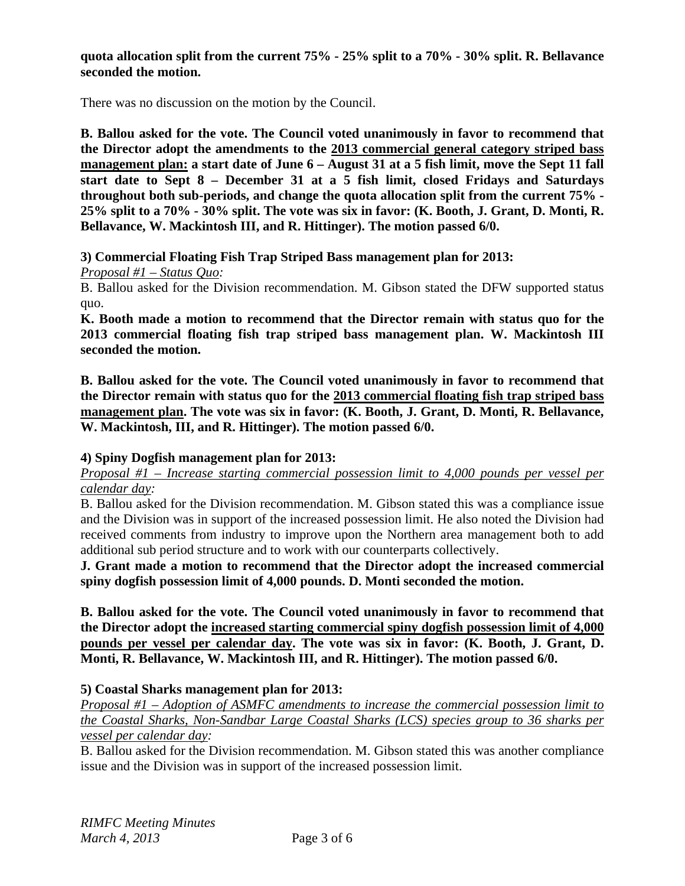### **quota allocation split from the current 75% - 25% split to a 70% - 30% split. R. Bellavance seconded the motion.**

There was no discussion on the motion by the Council.

**B. Ballou asked for the vote. The Council voted unanimously in favor to recommend that the Director adopt the amendments to the 2013 commercial general category striped bass management plan: a start date of June 6 – August 31 at a 5 fish limit, move the Sept 11 fall start date to Sept 8 – December 31 at a 5 fish limit, closed Fridays and Saturdays throughout both sub-periods, and change the quota allocation split from the current 75% - 25% split to a 70% - 30% split. The vote was six in favor: (K. Booth, J. Grant, D. Monti, R. Bellavance, W. Mackintosh III, and R. Hittinger). The motion passed 6/0.** 

**3) Commercial Floating Fish Trap Striped Bass management plan for 2013:** 

*Proposal #1 – Status Quo:* 

B. Ballou asked for the Division recommendation. M. Gibson stated the DFW supported status quo.

**K. Booth made a motion to recommend that the Director remain with status quo for the 2013 commercial floating fish trap striped bass management plan. W. Mackintosh III seconded the motion.** 

**B. Ballou asked for the vote. The Council voted unanimously in favor to recommend that the Director remain with status quo for the 2013 commercial floating fish trap striped bass management plan. The vote was six in favor: (K. Booth, J. Grant, D. Monti, R. Bellavance, W. Mackintosh, III, and R. Hittinger). The motion passed 6/0.** 

# **4) Spiny Dogfish management plan for 2013:**

*Proposal #1 – Increase starting commercial possession limit to 4,000 pounds per vessel per calendar day:* 

B. Ballou asked for the Division recommendation. M. Gibson stated this was a compliance issue and the Division was in support of the increased possession limit. He also noted the Division had received comments from industry to improve upon the Northern area management both to add additional sub period structure and to work with our counterparts collectively.

**J. Grant made a motion to recommend that the Director adopt the increased commercial spiny dogfish possession limit of 4,000 pounds. D. Monti seconded the motion.** 

**B. Ballou asked for the vote. The Council voted unanimously in favor to recommend that the Director adopt the increased starting commercial spiny dogfish possession limit of 4,000 pounds per vessel per calendar day. The vote was six in favor: (K. Booth, J. Grant, D. Monti, R. Bellavance, W. Mackintosh III, and R. Hittinger). The motion passed 6/0.** 

# **5) Coastal Sharks management plan for 2013:**

*Proposal #1 – Adoption of ASMFC amendments to increase the commercial possession limit to the Coastal Sharks, Non-Sandbar Large Coastal Sharks (LCS) species group to 36 sharks per vessel per calendar day:* 

B. Ballou asked for the Division recommendation. M. Gibson stated this was another compliance issue and the Division was in support of the increased possession limit.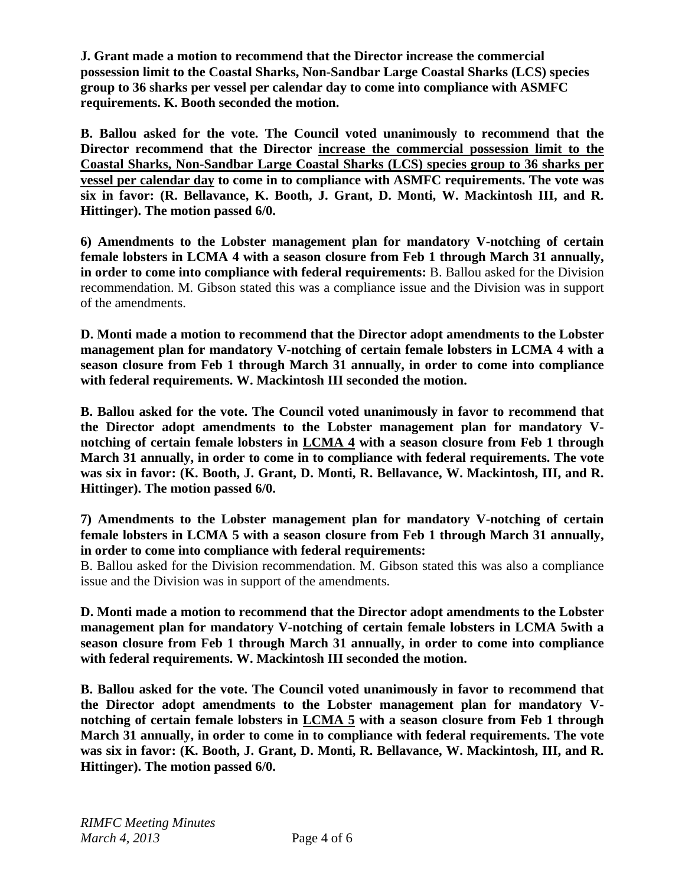**J. Grant made a motion to recommend that the Director increase the commercial possession limit to the Coastal Sharks, Non-Sandbar Large Coastal Sharks (LCS) species group to 36 sharks per vessel per calendar day to come into compliance with ASMFC requirements. K. Booth seconded the motion.** 

**B. Ballou asked for the vote. The Council voted unanimously to recommend that the Director recommend that the Director increase the commercial possession limit to the Coastal Sharks, Non-Sandbar Large Coastal Sharks (LCS) species group to 36 sharks per vessel per calendar day to come in to compliance with ASMFC requirements. The vote was six in favor: (R. Bellavance, K. Booth, J. Grant, D. Monti, W. Mackintosh III, and R. Hittinger). The motion passed 6/0.** 

**6) Amendments to the Lobster management plan for mandatory V-notching of certain female lobsters in LCMA 4 with a season closure from Feb 1 through March 31 annually, in order to come into compliance with federal requirements:** B. Ballou asked for the Division recommendation. M. Gibson stated this was a compliance issue and the Division was in support of the amendments.

**D. Monti made a motion to recommend that the Director adopt amendments to the Lobster management plan for mandatory V-notching of certain female lobsters in LCMA 4 with a season closure from Feb 1 through March 31 annually, in order to come into compliance with federal requirements. W. Mackintosh III seconded the motion.** 

**B. Ballou asked for the vote. The Council voted unanimously in favor to recommend that the Director adopt amendments to the Lobster management plan for mandatory Vnotching of certain female lobsters in LCMA 4 with a season closure from Feb 1 through March 31 annually, in order to come in to compliance with federal requirements. The vote was six in favor: (K. Booth, J. Grant, D. Monti, R. Bellavance, W. Mackintosh, III, and R. Hittinger). The motion passed 6/0.** 

**7) Amendments to the Lobster management plan for mandatory V-notching of certain female lobsters in LCMA 5 with a season closure from Feb 1 through March 31 annually, in order to come into compliance with federal requirements:** 

B. Ballou asked for the Division recommendation. M. Gibson stated this was also a compliance issue and the Division was in support of the amendments.

**D. Monti made a motion to recommend that the Director adopt amendments to the Lobster management plan for mandatory V-notching of certain female lobsters in LCMA 5with a season closure from Feb 1 through March 31 annually, in order to come into compliance with federal requirements. W. Mackintosh III seconded the motion.** 

**B. Ballou asked for the vote. The Council voted unanimously in favor to recommend that the Director adopt amendments to the Lobster management plan for mandatory Vnotching of certain female lobsters in LCMA 5 with a season closure from Feb 1 through March 31 annually, in order to come in to compliance with federal requirements. The vote was six in favor: (K. Booth, J. Grant, D. Monti, R. Bellavance, W. Mackintosh, III, and R. Hittinger). The motion passed 6/0.**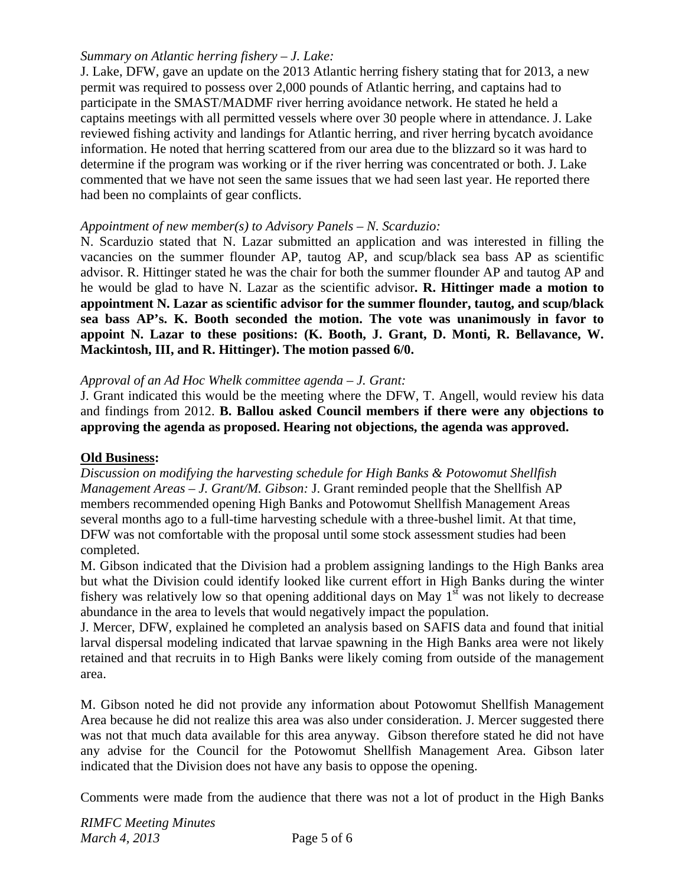### *Summary on Atlantic herring fishery – J. Lake:*

J. Lake, DFW, gave an update on the 2013 Atlantic herring fishery stating that for 2013, a new permit was required to possess over 2,000 pounds of Atlantic herring, and captains had to participate in the SMAST/MADMF river herring avoidance network. He stated he held a captains meetings with all permitted vessels where over 30 people where in attendance. J. Lake reviewed fishing activity and landings for Atlantic herring, and river herring bycatch avoidance information. He noted that herring scattered from our area due to the blizzard so it was hard to determine if the program was working or if the river herring was concentrated or both. J. Lake commented that we have not seen the same issues that we had seen last year. He reported there had been no complaints of gear conflicts.

#### *Appointment of new member(s) to Advisory Panels – N. Scarduzio:*

N. Scarduzio stated that N. Lazar submitted an application and was interested in filling the vacancies on the summer flounder AP, tautog AP, and scup/black sea bass AP as scientific advisor. R. Hittinger stated he was the chair for both the summer flounder AP and tautog AP and he would be glad to have N. Lazar as the scientific advisor**. R. Hittinger made a motion to appointment N. Lazar as scientific advisor for the summer flounder, tautog, and scup/black sea bass AP's. K. Booth seconded the motion. The vote was unanimously in favor to appoint N. Lazar to these positions: (K. Booth, J. Grant, D. Monti, R. Bellavance, W. Mackintosh, III, and R. Hittinger). The motion passed 6/0.** 

#### *Approval of an Ad Hoc Whelk committee agenda – J. Grant:*

J. Grant indicated this would be the meeting where the DFW, T. Angell, would review his data and findings from 2012. **B. Ballou asked Council members if there were any objections to approving the agenda as proposed. Hearing not objections, the agenda was approved.** 

#### **Old Business:**

*Discussion on modifying the harvesting schedule for High Banks & Potowomut Shellfish Management Areas – J. Grant/M. Gibson:* J. Grant reminded people that the Shellfish AP members recommended opening High Banks and Potowomut Shellfish Management Areas several months ago to a full-time harvesting schedule with a three-bushel limit. At that time, DFW was not comfortable with the proposal until some stock assessment studies had been completed.

M. Gibson indicated that the Division had a problem assigning landings to the High Banks area but what the Division could identify looked like current effort in High Banks during the winter fishery was relatively low so that opening additional days on May  $1<sup>st</sup>$  was not likely to decrease abundance in the area to levels that would negatively impact the population.

J. Mercer, DFW, explained he completed an analysis based on SAFIS data and found that initial larval dispersal modeling indicated that larvae spawning in the High Banks area were not likely retained and that recruits in to High Banks were likely coming from outside of the management area.

M. Gibson noted he did not provide any information about Potowomut Shellfish Management Area because he did not realize this area was also under consideration. J. Mercer suggested there was not that much data available for this area anyway. Gibson therefore stated he did not have any advise for the Council for the Potowomut Shellfish Management Area. Gibson later indicated that the Division does not have any basis to oppose the opening.

Comments were made from the audience that there was not a lot of product in the High Banks